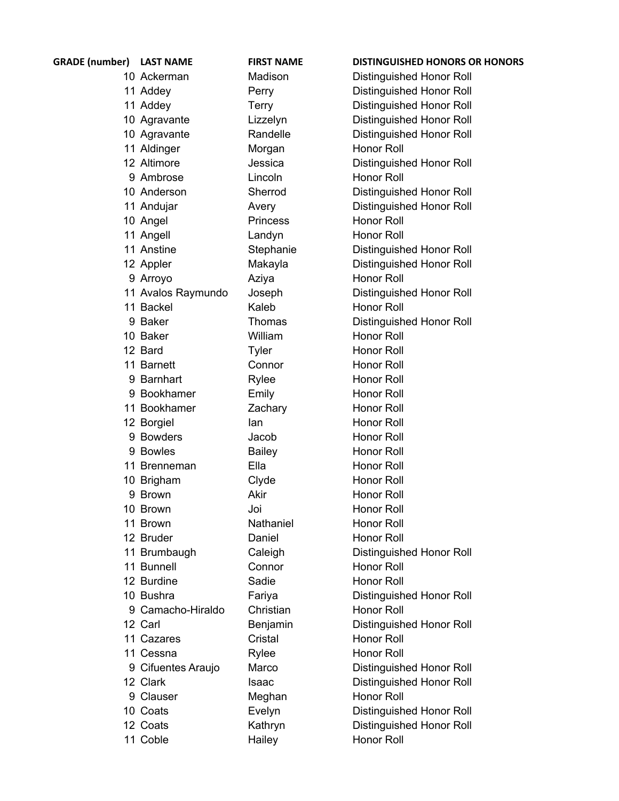| <b>GRADE</b> (number) | <b>LAST NAME</b>   | <b>FIRST NAME</b> | <b>DISTINGUISHED HONORS OR HONORS</b> |
|-----------------------|--------------------|-------------------|---------------------------------------|
|                       | 10 Ackerman        | Madison           | Distinguished Honor Roll              |
|                       | 11 Addey           | Perry             | Distinguished Honor Roll              |
|                       | 11 Addey           | Terry             | Distinguished Honor Roll              |
|                       | 10 Agravante       | Lizzelyn          | Distinguished Honor Roll              |
|                       | 10 Agravante       | Randelle          | Distinguished Honor Roll              |
|                       | 11 Aldinger        | Morgan            | Honor Roll                            |
|                       | 12 Altimore        | Jessica           | Distinguished Honor Roll              |
|                       | 9 Ambrose          | Lincoln           | Honor Roll                            |
|                       | 10 Anderson        | Sherrod           | Distinguished Honor Roll              |
|                       | 11 Andujar         | Avery             | Distinguished Honor Roll              |
|                       | 10 Angel           | <b>Princess</b>   | Honor Roll                            |
|                       | 11 Angell          | Landyn            | Honor Roll                            |
|                       | 11 Anstine         | Stephanie         | Distinguished Honor Roll              |
|                       | 12 Appler          | Makayla           | Distinguished Honor Roll              |
|                       | 9 Arroyo           | Aziya             | Honor Roll                            |
|                       | 11 Avalos Raymundo | Joseph            | Distinguished Honor Roll              |
|                       | 11 Backel          | Kaleb             | Honor Roll                            |
|                       | 9 Baker            | Thomas            | Distinguished Honor Roll              |
|                       | 10 Baker           | William           | Honor Roll                            |
|                       | 12 Bard            | Tyler             | Honor Roll                            |
|                       | 11 Barnett         | Connor            | Honor Roll                            |
|                       | 9 Barnhart         | Rylee             | Honor Roll                            |
|                       | 9 Bookhamer        | Emily             | Honor Roll                            |
|                       | 11 Bookhamer       | Zachary           | Honor Roll                            |
|                       | 12 Borgiel         | lan               | Honor Roll                            |
|                       | 9 Bowders          | Jacob             | Honor Roll                            |
|                       | 9 Bowles           | <b>Bailey</b>     | Honor Roll                            |
|                       | 11 Brenneman       | Ella              | <b>Honor Roll</b>                     |
|                       | 10 Brigham         | Clyde             | Honor Roll                            |
|                       | 9 Brown            | Akir              | Honor Roll                            |
|                       | 10 Brown           | Joi               | Honor Roll                            |
|                       | 11 Brown           | Nathaniel         | Honor Roll                            |
|                       | 12 Bruder          | Daniel            | Honor Roll                            |
|                       | 11 Brumbaugh       | Caleigh           | Distinguished Honor Roll              |
|                       | 11 Bunnell         | Connor            | Honor Roll                            |
|                       | 12 Burdine         | Sadie             | Honor Roll                            |
|                       | 10 Bushra          | Fariya            | Distinguished Honor Roll              |
|                       | 9 Camacho-Hiraldo  | Christian         | Honor Roll                            |
|                       | 12 Carl            | Benjamin          | Distinguished Honor Roll              |
|                       | 11 Cazares         | Cristal           | Honor Roll                            |
|                       | 11 Cessna          | Rylee             | Honor Roll                            |
|                       | 9 Cifuentes Araujo | Marco             | Distinguished Honor Roll              |
|                       | 12 Clark           | Isaac             | Distinguished Honor Roll              |
|                       | 9 Clauser          | Meghan            | Honor Roll                            |
|                       | 10 Coats           | Evelyn            | Distinguished Honor Roll              |
|                       | 12 Coats           | Kathryn           | Distinguished Honor Roll              |
|                       | 11 Coble           | Hailey            | Honor Roll                            |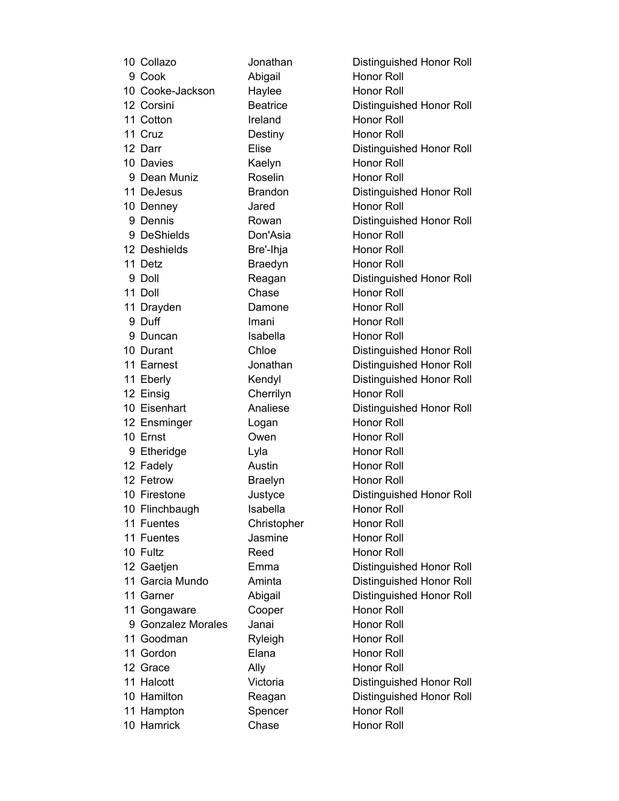| 10 Collazo         | Jonathan        | Distinguished Honor Roll |
|--------------------|-----------------|--------------------------|
| 9 Cook             | Abigail         | Honor Roll               |
| 10 Cooke-Jackson   | Haylee          | <b>Honor Roll</b>        |
| 12 Corsini         | <b>Beatrice</b> | Distinguished Honor Roll |
| 11 Cotton          | Ireland         | <b>Honor Roll</b>        |
| 11 Cruz            | Destiny         | <b>Honor Roll</b>        |
| 12 Darr            | Elise           | Distinguished Honor Roll |
| 10 Davies          | Kaelyn          | <b>Honor Roll</b>        |
| 9 Dean Muniz       | Roselin         | <b>Honor Roll</b>        |
| 11 DeJesus         | <b>Brandon</b>  | Distinguished Honor Roll |
| 10 Denney          | Jared           | <b>Honor Roll</b>        |
| 9 Dennis           | Rowan           | Distinguished Honor Roll |
| 9 DeShields        | Don'Asia        | <b>Honor Roll</b>        |
| 12 Deshields       | Bre'-Ihja       | <b>Honor Roll</b>        |
| 11 Detz            | <b>Braedyn</b>  | <b>Honor Roll</b>        |
| 9 Doll             | Reagan          | Distinguished Honor Roll |
| 11 Doll            | Chase           | <b>Honor Roll</b>        |
| 11 Drayden         | Damone          | <b>Honor Roll</b>        |
| 9 Duff             | Imani           | <b>Honor Roll</b>        |
| 9 Duncan           | Isabella        | <b>Honor Roll</b>        |
| 10 Durant          | Chloe           | Distinguished Honor Roll |
| 11 Earnest         | Jonathan        | Distinguished Honor Roll |
| 11 Eberly          | Kendyl          | Distinguished Honor Roll |
| 12 Einsig          | Cherrilyn       | <b>Honor Roll</b>        |
| 10 Eisenhart       | Analiese        | Distinguished Honor Roll |
| 12 Ensminger       | Logan           | <b>Honor Roll</b>        |
| 10 Ernst           | Owen            | <b>Honor Roll</b>        |
| 9 Etheridge        | Lyla            | <b>Honor Roll</b>        |
| 12 Fadely          | Austin          | <b>Honor Roll</b>        |
| 12 Fetrow          | <b>Braelyn</b>  | <b>Honor Roll</b>        |
| 10 Firestone       | Justyce         | Distinguished Honor Roll |
| 10 Flinchbaugh     | Isabella        | Honor Roll               |
| 11 Fuentes         | Christopher     | <b>Honor Roll</b>        |
| 11 Fuentes         | Jasmine         | Honor Roll               |
| 10 Fultz           | Reed            | <b>Honor Roll</b>        |
| 12 Gaetjen         | Emma            | Distinguished Honor Roll |
| 11 Garcia Mundo    | Aminta          | Distinguished Honor Roll |
| 11 Garner          | Abigail         | Distinguished Honor Roll |
| 11 Gongaware       | Cooper          | <b>Honor Roll</b>        |
| 9 Gonzalez Morales | Janai           | <b>Honor Roll</b>        |
| 11 Goodman         | Ryleigh         | Honor Roll               |
| 11 Gordon          | Elana           | Honor Roll               |
| 12 Grace           | Ally            | <b>Honor Roll</b>        |
| 11 Halcott         | Victoria        | Distinguished Honor Roll |
| 10 Hamilton        | Reagan          | Distinguished Honor Roll |
| 11 Hampton         | Spencer         | Honor Roll               |
| 10 Hamrick         | Chase           | Honor Roll               |

Honor Roll Honor Roll Distinguished Honor Roll Honor Roll Honor Roll Distinguished Honor Roll Honor Roll Honor Roll Distinguished Honor Roll Honor Roll Distinguished Honor Roll Honor Roll Honor Roll Honor Roll Distinguished Honor Roll Honor Roll Honor Roll Honor Roll Honor Roll Distinguished Honor Roll Distinguished Honor Roll Distinguished Honor Roll Honor Roll Distinguished Honor Roll Honor Roll Honor Roll Honor Roll Honor Roll Honor Roll Distinguished Honor Roll Honor Roll Honor Roll Honor Roll Honor Roll Distinguished Honor Roll Distinguished Honor Roll Distinguished Honor Roll Honor Roll Honor Roll Honor Roll Honor Roll Honor Roll Distinguished Honor Roll Distinguished Honor Roll Honor Roll Honor Roll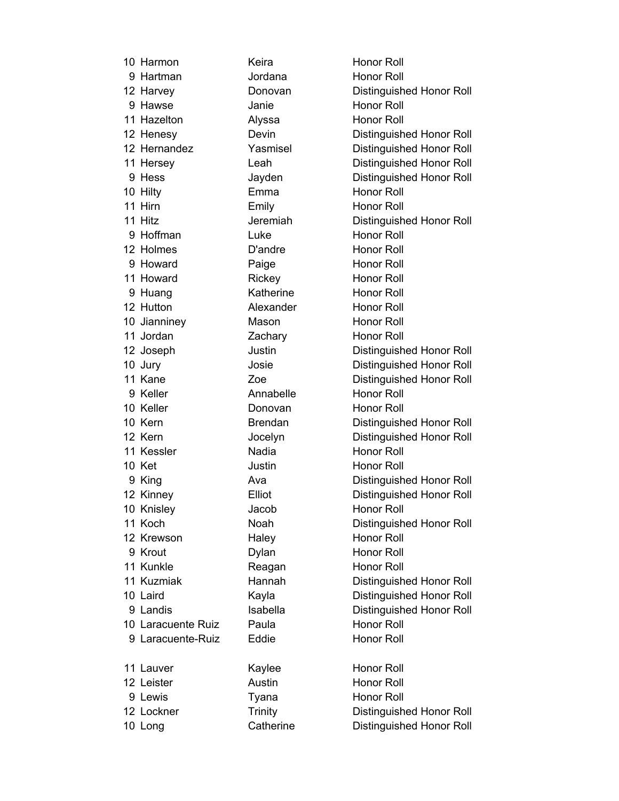| 10 Harmon          | Keira          | Honor Roll                      |
|--------------------|----------------|---------------------------------|
| 9 Hartman          | Jordana        | <b>Honor Roll</b>               |
| 12 Harvey          | Donovan        | Distinguished Honor Roll        |
| 9 Hawse            | Janie          | Honor Roll                      |
| 11 Hazelton        | Alyssa         | <b>Honor Roll</b>               |
| 12 Henesy          | Devin          | Distinguished Honor Roll        |
| 12 Hernandez       | Yasmisel       | Distinguished Honor Roll        |
| 11 Hersey          | Leah           | <b>Distinguished Honor Roll</b> |
| 9 Hess             | Jayden         | Distinguished Honor Roll        |
| 10 Hilty           | Emma           | <b>Honor Roll</b>               |
| 11 Hirn            | Emily          | <b>Honor Roll</b>               |
| 11 Hitz            | Jeremiah       | <b>Distinguished Honor Roll</b> |
| 9 Hoffman          | Luke           | Honor Roll                      |
| 12 Holmes          | D'andre        | <b>Honor Roll</b>               |
| 9 Howard           | Paige          | Honor Roll                      |
| 11 Howard          | Rickey         | <b>Honor Roll</b>               |
| 9 Huang            | Katherine      | <b>Honor Roll</b>               |
| 12 Hutton          | Alexander      | <b>Honor Roll</b>               |
| 10 Jianniney       | Mason          | <b>Honor Roll</b>               |
| 11 Jordan          | Zachary        | <b>Honor Roll</b>               |
| 12 Joseph          | Justin         | Distinguished Honor Roll        |
| 10 Jury            | Josie          | Distinguished Honor Roll        |
| 11 Kane            | Zoe            | Distinguished Honor Roll        |
| 9 Keller           | Annabelle      | <b>Honor Roll</b>               |
| 10 Keller          | Donovan        | <b>Honor Roll</b>               |
| 10 Kern            | <b>Brendan</b> | Distinguished Honor Roll        |
| 12 Kern            | Jocelyn        | Distinguished Honor Roll        |
| 11 Kessler         | Nadia          | Honor Roll                      |
| 10 Ket             | Justin         | <b>Honor Roll</b>               |
| 9 King             | Ava            | Distinguished Honor Roll        |
| 12 Kinney          | Elliot         | Distinguished Honor Roll        |
| 10 Knisley         | Jacob          | Honor Roll                      |
| 11 Koch            | Noah           | Distinguished Honor Roll        |
| 12 Krewson         | Haley          | <b>Honor Roll</b>               |
| 9 Krout            | Dylan          | <b>Honor Roll</b>               |
| 11 Kunkle          | Reagan         | Honor Roll                      |
| 11 Kuzmiak         | Hannah         | Distinguished Honor Roll        |
| 10 Laird           | Kayla          | Distinguished Honor Roll        |
| 9 Landis           | Isabella       | Distinguished Honor Roll        |
| 10 Laracuente Ruiz | Paula          | Honor Roll                      |
| 9 Laracuente-Ruiz  | Eddie          | Honor Roll                      |
| 11 Lauver          | Kaylee         | Honor Roll                      |
| 12 Leister         | Austin         | <b>Honor Roll</b>               |
| 9 Lewis            | Tyana          | <b>Honor Roll</b>               |
| 12 Lockner         | <b>Trinity</b> | Distinguished Honor Roll        |
| 10 Long            | Catherine      | Distinguished Honor Roll        |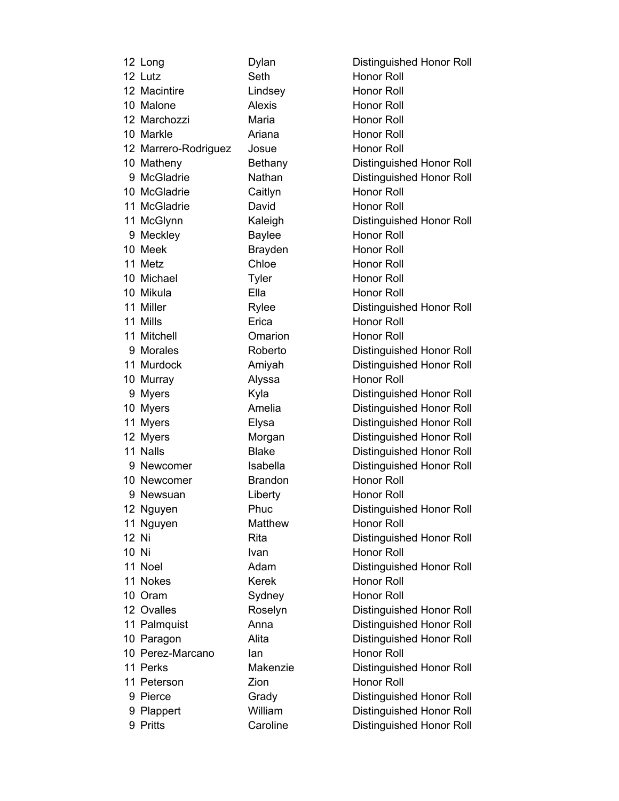|       | 12 Long              | Dylan          | Distinguished Honor Roll        |
|-------|----------------------|----------------|---------------------------------|
|       | 12 Lutz              | Seth           | Honor Roll                      |
|       | 12 Macintire         | Lindsey        | <b>Honor Roll</b>               |
|       | 10 Malone            | <b>Alexis</b>  | <b>Honor Roll</b>               |
|       | 12 Marchozzi         | Maria          | <b>Honor Roll</b>               |
|       | 10 Markle            | Ariana         | <b>Honor Roll</b>               |
|       | 12 Marrero-Rodriguez | Josue          | <b>Honor Roll</b>               |
|       | 10 Matheny           | Bethany        | Distinguished Honor Roll        |
|       | 9 McGladrie          | Nathan         | Distinguished Honor Roll        |
|       | 10 McGladrie         | Caitlyn        | <b>Honor Roll</b>               |
|       | 11 McGladrie         | David          | <b>Honor Roll</b>               |
|       | 11 McGlynn           | Kaleigh        | Distinguished Honor Roll        |
|       | 9 Meckley            | <b>Baylee</b>  | <b>Honor Roll</b>               |
|       | 10 Meek              | <b>Brayden</b> | <b>Honor Roll</b>               |
|       | 11 Metz              | Chloe          | <b>Honor Roll</b>               |
|       | 10 Michael           | <b>Tyler</b>   | <b>Honor Roll</b>               |
|       | 10 Mikula            | Ella           | <b>Honor Roll</b>               |
|       | 11 Miller            | Rylee          | Distinguished Honor Roll        |
|       | 11 Mills             | Erica          | <b>Honor Roll</b>               |
|       | 11 Mitchell          | Omarion        | <b>Honor Roll</b>               |
|       | 9 Morales            | Roberto        | Distinguished Honor Roll        |
|       | 11 Murdock           | Amiyah         | Distinguished Honor Roll        |
|       | 10 Murray            | Alyssa         | <b>Honor Roll</b>               |
|       | 9 Myers              | Kyla           | Distinguished Honor Roll        |
|       | 10 Myers             | Amelia         | Distinguished Honor Roll        |
|       | 11 Myers             | Elysa          | <b>Distinguished Honor Roll</b> |
|       | 12 Myers             | Morgan         | Distinguished Honor Roll        |
|       | 11 Nalls             | <b>Blake</b>   | <b>Distinguished Honor Roll</b> |
|       | 9 Newcomer           | Isabella       | Distinguished Honor Roll        |
|       | 10 Newcomer          | <b>Brandon</b> | Honor Roll                      |
|       | 9 Newsuan            | Liberty        | <b>Honor Roll</b>               |
|       | 12 Nguyen            | Phuc           | Distinguished Honor Roll        |
|       | 11 Nguyen            | Matthew        | Honor Roll                      |
| 12 Ni |                      | Rita           | Distinguished Honor Roll        |
| 10 Ni |                      | Ivan           | <b>Honor Roll</b>               |
|       | 11 Noel              | Adam           | Distinguished Honor Roll        |
|       | 11 Nokes             | <b>Kerek</b>   | Honor Roll                      |
|       | 10 Oram              | Sydney         | <b>Honor Roll</b>               |
|       | 12 Ovalles           | Roselyn        | Distinguished Honor Roll        |
|       | 11 Palmquist         | Anna           | Distinguished Honor Roll        |
|       | 10 Paragon           | Alita          | Distinguished Honor Roll        |
|       | 10 Perez-Marcano     | lan            | Honor Roll                      |
|       | 11 Perks             | Makenzie       | Distinguished Honor Roll        |
|       | 11 Peterson          | Zion           | <b>Honor Roll</b>               |
|       | 9 Pierce             | Grady          | <b>Distinguished Honor Roll</b> |
|       | 9 Plappert           | William        | <b>Distinguished Honor Roll</b> |
|       | 9 Pritts             | Caroline       | Distinguished Honor Roll        |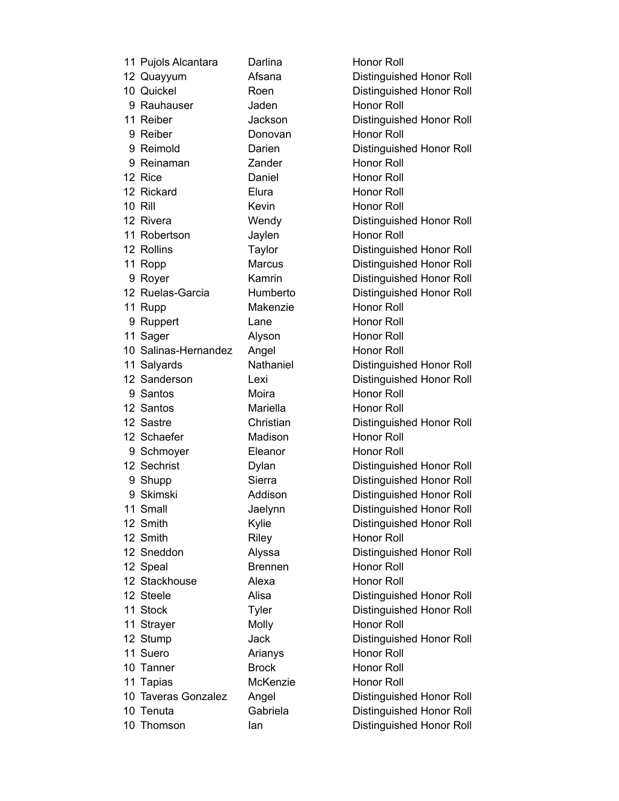| 11 Pujols Alcantara  | Darlina        | <b>Honor Roll</b>               |
|----------------------|----------------|---------------------------------|
| 12 Quayyum           | Afsana         | Distinguished Honor Roll        |
| 10 Quickel           | Roen           | Distinguished Honor Roll        |
| 9 Rauhauser          | Jaden          | Honor Roll                      |
| 11 Reiber            | Jackson        | Distinguished Honor Roll        |
| 9 Reiber             | Donovan        | <b>Honor Roll</b>               |
| 9 Reimold            | Darien         | Distinguished Honor Roll        |
| 9 Reinaman           | Zander         | Honor Roll                      |
| 12 Rice              | Daniel         | <b>Honor Roll</b>               |
| 12 Rickard           | Elura          | <b>Honor Roll</b>               |
| <b>10 Rill</b>       | Kevin          | <b>Honor Roll</b>               |
| 12 Rivera            | Wendy          | Distinguished Honor Roll        |
| 11 Robertson         | Jaylen         | <b>Honor Roll</b>               |
| 12 Rollins           | Taylor         | Distinguished Honor Roll        |
| 11 Ropp              | <b>Marcus</b>  | Distinguished Honor Roll        |
| 9 Royer              | Kamrin         | Distinguished Honor Roll        |
| 12 Ruelas-Garcia     | Humberto       | Distinguished Honor Roll        |
| 11 Rupp              | Makenzie       | Honor Roll                      |
| 9 Ruppert            | Lane           | <b>Honor Roll</b>               |
| 11 Sager             | Alyson         | Honor Roll                      |
| 10 Salinas-Hernandez | Angel          | <b>Honor Roll</b>               |
| 11 Salyards          | Nathaniel      | Distinguished Honor Roll        |
| 12 Sanderson         | Lexi           | Distinguished Honor Roll        |
| 9 Santos             | Moira          | <b>Honor Roll</b>               |
| 12 Santos            | Mariella       | <b>Honor Roll</b>               |
| 12 Sastre            | Christian      | Distinguished Honor Roll        |
| 12 Schaefer          | Madison        | <b>Honor Roll</b>               |
| 9 Schmoyer           | Eleanor        | Honor Roll                      |
| 12 Sechrist          | Dylan          | Distinguished Honor Roll        |
| 9 Shupp              | Sierra         | Distinguished Honor Roll        |
| 9 Skimski            | Addison        | <b>Distinguished Honor Roll</b> |
| 11 Small             | Jaelynn        | Distinguished Honor Roll        |
| 12 Smith             | Kylie          | Distinguished Honor Roll        |
| 12 Smith             | Riley          | <b>Honor Roll</b>               |
| 12 Sneddon           | Alyssa         | Distinguished Honor Roll        |
| 12 Speal             | <b>Brennen</b> | <b>Honor Roll</b>               |
| 12 Stackhouse        | Alexa          | <b>Honor Roll</b>               |
| 12 Steele            | Alisa          | Distinguished Honor Roll        |
| 11 Stock             | Tyler          | Distinguished Honor Roll        |
| 11 Strayer           | Molly          | <b>Honor Roll</b>               |
| 12 Stump             | <b>Jack</b>    | Distinguished Honor Roll        |
| 11 Suero             | Arianys        | Honor Roll                      |
| 10 Tanner            | <b>Brock</b>   | <b>Honor Roll</b>               |
| 11 Tapias            | McKenzie       | <b>Honor Roll</b>               |
| 10 Taveras Gonzalez  | Angel          | Distinguished Honor Roll        |
| 10 Tenuta            | Gabriela       | Distinguished Honor Roll        |
| 10 Thomson           | lan            | Distinguished Honor Roll        |
|                      |                |                                 |